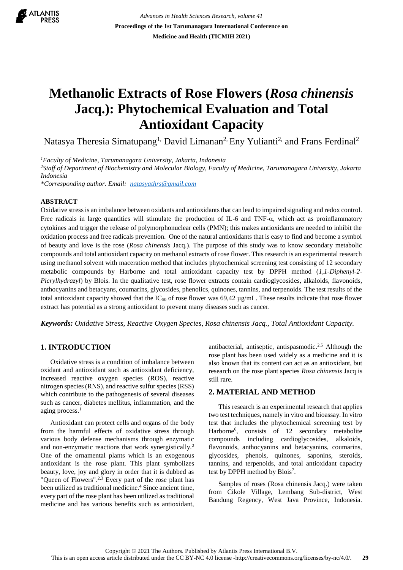

*Advances in Health Sciences Research, volume 41* **Proceedings of the 1st Tarumanagara International Conference on Medicine and Health (TICMIH 2021)**

# **Methanolic Extracts of Rose Flowers (***Rosa chinensis* **Jacq.): Phytochemical Evaluation and Total Antioxidant Capacity**

Natasya Theresia Simatupang<sup>1,</sup> David Limanan<sup>2,</sup> Eny Yulianti<sup>2,</sup> and Frans Ferdinal<sup>2</sup>

*<sup>1</sup>Faculty of Medicine, Tarumanagara University, Jakarta, Indonesia*

*<sup>2</sup>Staff of Department of Biochemistry and Molecular Biology, Faculty of Medicine, Tarumanagara University, Jakarta Indonesia*

*\*Corresponding author. Email: [natasyathrs@gmail.com](mailto:natasyathrs@gmail.com)*

#### **ABSTRACT**

Oxidative stress is an imbalance between oxidants and antioxidants that can lead to impaired signaling and redox control. Free radicals in large quantities will stimulate the production of IL-6 and TNF- $\alpha$ , which act as proinflammatory cytokines and trigger the release of polymorphonuclear cells (PMN); this makes antioxidants are needed to inhibit the oxidation process and free radicals prevention. One of the natural antioxidants that is easy to find and become a symbol of beauty and love is the rose (*Rosa chinensis* Jacq.). The purpose of this study was to know secondary metabolic compounds and total antioxidant capacity on methanol extracts of rose flower. This research is an experimental research using methanol solvent with maceration method that includes phytochemical screening test consisting of 12 secondary metabolic compounds by Harborne and total antioxidant capacity test by DPPH method (*1,1-Diphenyl-2- Picrylhydrazyl*) by Blois. In the qualitative test, rose flower extracts contain cardioglycosides, alkaloids, flavonoids, anthocyanins and betacyans, coumarins, glycosides, phenolics, quinones, tannins, and terpenoids. The test results of the total antioxidant capacity showed that the  $IC_{50}$  of rose flower was 69,42  $\mu$ g/mL. These results indicate that rose flower extract has potential as a strong antioxidant to prevent many diseases such as cancer.

*Keywords: Oxidative Stress, Reactive Oxygen Species, Rosa chinensis Jacq., Total Antioxidant Capacity.*

# **1. INTRODUCTION**

Oxidative stress is a condition of imbalance between oxidant and antioxidant such as antioxidant deficiency, increased reactive oxygen species (ROS), reactive nitrogen species (RNS), and reactive sulfur species (RSS) which contribute to the pathogenesis of several diseases such as cancer, diabetes mellitus, inflammation, and the aging process.<sup>1</sup>

Antioxidant can protect cells and organs of the body from the harmful effects of oxidative stress through various body defense mechanisms through enzymatic and non-enzymatic reactions that work synergistically.<sup>2</sup> One of the ornamental plants which is an exogenous antioxidant is the rose plant. This plant symbolizes beauty, love, joy and glory in order that it is dubbed as "Queen of Flowers".<sup>2,3</sup> Every part of the rose plant has been utilized as traditional medicine.<sup>4</sup> Since ancient time, every part of the rose plant has been utilized as traditional medicine and has various benefits such as antioxidant, antibacterial, antiseptic, antispasmodic.<sup>2,5</sup> Although the rose plant has been used widely as a medicine and it is also known that its content can act as an antioxidant, but research on the rose plant species *Rosa chinensis* Jacq is still rare.

## **2. MATERIAL AND METHOD**

This research is an experimental research that applies two test techniques, namely in vitro and bioassay. In vitro test that includes the phytochemical screening test by Harborne<sup>6</sup> , consists of 12 secondary metabolite compounds including cardioglycosides, alkaloids, flavonoids, anthocyanins and betacyanins, coumarins, glycosides, phenols, quinones, saponins, steroids, tannins, and terpenoids, and total antioxidant capacity test by DPPH method by Blois<sup>7</sup>.

Samples of roses (Rosa chinensis Jacq.) were taken from Cikole Village, Lembang Sub-district, West Bandung Regency, West Java Province, Indonesia.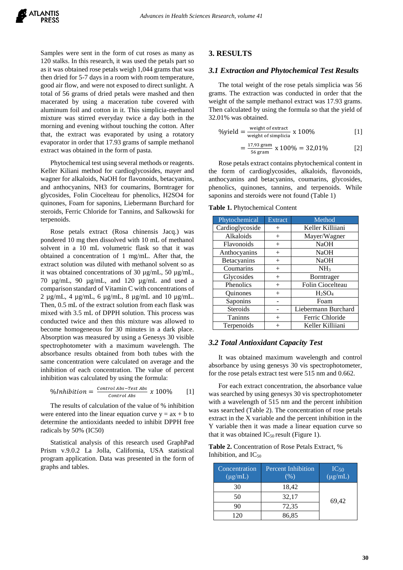Samples were sent in the form of cut roses as many as 120 stalks. In this research, it was used the petals part so as it was obtained rose petals weigh 1,044 grams that was then dried for 5-7 days in a room with room temperature, good air flow, and were not exposed to direct sunlight. A total of 56 grams of dried petals were mashed and then macerated by using a maceration tube covered with aluminum foil and cotton in it. This simplicia-methanol mixture was stirred everyday twice a day both in the morning and evening without touching the cotton. After that, the extract was evaporated by using a rotatory evaporator in order that 17.93 grams of sample methanol extract was obtained in the form of pasta.

Phytochemical test using several methods or reagents. Keller Kiliani method for cardioglycosides, mayer and wagner for alkaloids, NaOH for flavonoids, betacyanins, and anthocyanins, NH3 for coumarins, Borntrager for glycosides, Folin Ciocelteau for phenolics, H2SO4 for quinones, Foam for saponins, Liebermann Burchard for steroids, Ferric Chloride for Tannins, and Salkowski for terpenoids.

Rose petals extract (Rosa chinensis Jacq.) was pondered 10 mg then dissolved with 10 mL of methanol solvent in a 10 mL volumetric flask so that it was obtained a concentration of 1 mg/mL. After that, the extract solution was diluted with methanol solvent so as it was obtained concentrations of 30 µg/mL, 50 µg/mL, 70 µg/mL, 90 µg/mL, and 120 µg/mL and used a comparison standard of Vitamin C with concentrations of 2 µg/mL, 4 µg/mL, 6 µg/mL, 8 µg/mL and 10 µg/mL. Then, 0.5 mL of the extract solution from each flask was mixed with 3.5 mL of DPPH solution. This process was conducted twice and then this mixture was allowed to become homogeneous for 30 minutes in a dark place. Absorption was measured by using a Genesys 30 visible spectrophotometer with a maximum wavelength. The absorbance results obtained from both tubes with the same concentration were calculated on average and the inhibition of each concentration. The value of percent inhibition was calculated by using the formula:

$$
\% Inhibition = \frac{\text{Control Abs-Test Abs}}{\text{Control Abs}} \times 100\% \qquad [1]
$$

The results of calculation of the value of % inhibition were entered into the linear equation curve  $y = ax + b$  to determine the antioxidants needed to inhibit DPPH free radicals by 50% (IC50)

Statistical analysis of this research used GraphPad Prism v.9.0.2 La Jolla, California, USA statistical program application. Data was presented in the form of graphs and tables.

#### **3. RESULTS**

## *3.1 Extraction and Phytochemical Test Results*

The total weight of the rose petals simplicia was 56 grams. The extraction was conducted in order that the weight of the sample methanol extract was 17.93 grams. Then calculated by using the formula so that the yield of 32.01% was obtained.

$$
\% yield = \frac{\text{weight of extract}}{\text{weight of simplicial}} \times 100\%
$$
 [1]

$$
=\frac{17,93 \text{ gram}}{56 \text{ gram}} \times 100\% = 32,01\%
$$
 [2]

Rose petals extract contains phytochemical content in the form of cardioglycosides, alkaloids, flavonoids, anthocyanins and betacyanins, coumarins, glycosides, phenolics, quinones, tannins, and terpenoids. While saponins and steroids were not found (Table 1)

**Table 1.** Phytochemical Content

| Phytochemical   | <b>Extract</b> | Method              |  |
|-----------------|----------------|---------------------|--|
| Cardioglycoside | $+$            | Keller Killiiani    |  |
| Alkaloids       | $^{+}$         | Mayer/Wagner        |  |
| Flavonoids      | $^{+}$         | <b>NaOH</b>         |  |
| Anthocyanins    | $^{+}$         | <b>NaOH</b>         |  |
| Betacyanins     | $^{+}$         | <b>NaOH</b>         |  |
| Coumarins       | $^{+}$         | NH <sub>3</sub>     |  |
| Glycosides      | $^{+}$         | <b>Borntrager</b>   |  |
| Phenolics       | $^{+}$         | Folin Ciocelteau    |  |
| <b>Ouinones</b> | $^{+}$         | $H_2SO_4$           |  |
| Saponins        |                | Foam                |  |
| <b>Steroids</b> |                | Liebermann Burchard |  |
| <b>Taninns</b>  | $^{+}$         | Ferric Chloride     |  |
| Terpenoids      |                | Keller Killiiani    |  |

#### *3.2 Total Antioxidant Capacity Test*

It was obtained maximum wavelength and control absorbance by using genesys 30 vis spectrophotometer, for the rose petals extract test were 515 nm and 0.662.

For each extract concentration, the absorbance value was searched by using genesys 30 vis spectrophotometer with a wavelength of 515 nm and the percent inhibition was searched (Table 2). The concentration of rose petals extract in the X variable and the percent inhibition in the Y variable then it was made a linear equation curve so that it was obtained  $IC_{50}$  result (Figure 1).

**Table 2.** Concentration of Rose Petals Extract, % Inhibition, and  $IC_{50}$ 

| Concentration<br>$(\mu g/mL)$ | <b>Percent Inhibition</b><br>$(\%$ | $IC_{50}$<br>$(\mu g/mL)$ |
|-------------------------------|------------------------------------|---------------------------|
| 30                            | 18,42                              |                           |
| 50                            | 32,17                              | 69,42                     |
|                               | 72,35                              |                           |
| 120                           | 86,85                              |                           |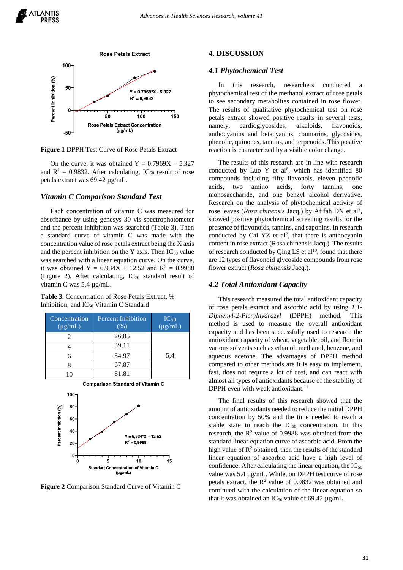

**Figure 1** DPPH Test Curve of Rose Petals Extract

On the curve, it was obtained  $Y = 0.7969X - 5.327$ and  $R^2 = 0.9832$ . After calculating, IC<sub>50</sub> result of rose petals extract was 69.42 µg/mL.

## *Vitamin C Comparison Standard Test*

Each concentration of vitamin C was measured for absorbance by using genesys 30 vis spectrophotometer and the percent inhibition was searched (Table 3). Then a standard curve of vitamin C was made with the concentration value of rose petals extract being the X axis and the percent inhibition on the Y axis. Then  $IC_{50}$  value was searched with a linear equation curve. On the curve, it was obtained Y =  $6.934X + 12.52$  and R<sup>2</sup> = 0.9988 (Figure 2). After calculating,  $IC_{50}$  standard result of vitamin C was 5.4 µg/mL.

**Table 3.** Concentration of Rose Petals Extract, % Inhibition, and IC<sub>50</sub> Vitamin C Standard

| Concentration<br>$(\mu g/mL)$ | <b>Percent Inhibition</b><br>$(\% )$ | $IC_{50}$<br>( $\mu$ g/mL) |
|-------------------------------|--------------------------------------|----------------------------|
|                               | 26,85                                |                            |
|                               | 39,11                                |                            |
|                               | 54,97                                | 5.4                        |
|                               | 67,87                                |                            |
|                               | 81,81                                |                            |



**Standart Concentration of Vitamin C**  $(\mu g/mL)$ 

 $10$ 

 $15$ 

**Figure 2** Comparison Standard Curve of Vitamin C

5

#### **4. DISCUSSION**

#### *4.1 Phytochemical Test*

In this research, researchers conducted phytochemical test of the methanol extract of rose petals to see secondary metabolites contained in rose flower. The results of qualitative phytochemical test on rose petals extract showed positive results in several tests, namely, cardioglycosides, alkaloids, flavonoids, anthocyanins and betacyanins, coumarins, glycosides, phenolic, quinones, tannins, and terpenoids. This positive reaction is characterized by a visible color change.

The results of this research are in line with research conducted by Luo Y et al<sup>8</sup>, which has identified  $80$ compounds including fifty flavonols, eleven phenolic acids, two amino acids, forty tannins, one monosaccharide, and one benzyl alcohol derivative. Research on the analysis of phytochemical activity of rose leaves (Rosa chinensis Jacq.) by Afifah DN et al<sup>9</sup>, showed positive phytochemical screening results for the presence of flavonoids, tannins, and saponins. In research conducted by Cai YZ et  $al^2$ , that there is anthocyanin content in rose extract (Rosa chinensis Jacq.). The results of research conducted by Qing LS et  $al^{10}$ , found that there are 12 types of flavonoid glycoside compounds from rose flower extract (*Rosa chinensis* Jacq.).

## *4.2 Total Antioxidant Capacity*

This research measured the total antioxidant capacity of rose petals extract and ascorbic acid by using *1,1- Diphenyl-2-Picrylhydrazyl* (DPPH) method. This method is used to measure the overall antioxidant capacity and has been successfully used to research the antioxidant capacity of wheat, vegetable, oil, and flour in various solvents such as ethanol, methanol, benzene, and aqueous acetone. The advantages of DPPH method compared to other methods are it is easy to implement, fast, does not require a lot of cost, and can react with almost all types of antioxidants because of the stability of DPPH even with weak antioxidant.<sup>11</sup>

The final results of this research showed that the amount of antioxidants needed to reduce the initial DPPH concentration by 50% and the time needed to reach a stable state to reach the  $IC_{50}$  concentration. In this research, the  $R^2$  value of 0.9988 was obtained from the standard linear equation curve of ascorbic acid. From the high value of  $\mathbb{R}^2$  obtained, then the results of the standard linear equation of ascorbic acid have a high level of confidence. After calculating the linear equation, the  $IC_{50}$ value was 5.4 µg/mL. While, on DPPH test curve of rose petals extract, the  $R^2$  value of 0.9832 was obtained and continued with the calculation of the linear equation so that it was obtained an  $IC_{50}$  value of 69.42  $\mu$ g/mL.